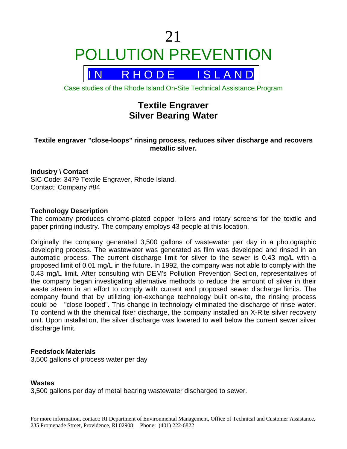# 21 POLLUTION PREVENTION



Case studies of the Rhode Island On-Site Technical Assistance Program

# **Textile Engraver Silver Bearing Water**

# **Textile engraver "close-loops" rinsing process, reduces silver discharge and recovers metallic silver.**

# **Industry \ Contact**

SIC Code: 3479 Textile Engraver, Rhode Island. Contact: Company #84

### **Technology Description**

The company produces chrome-plated copper rollers and rotary screens for the textile and paper printing industry. The company employs 43 people at this location.

Originally the company generated 3,500 gallons of wastewater per day in a photographic developing process. The wastewater was generated as film was developed and rinsed in an automatic process. The current discharge limit for silver to the sewer is 0.43 mg/L with a proposed limit of 0.01 mg/L in the future. In 1992, the company was not able to comply with the 0.43 mg/L limit. After consulting with DEM's Pollution Prevention Section, representatives of the company began investigating alternative methods to reduce the amount of silver in their waste stream in an effort to comply with current and proposed sewer discharge limits. The company found that by utilizing ion-exchange technology built on-site, the rinsing process could be "close looped". This change in technology eliminated the discharge of rinse water. To contend with the chemical fixer discharge, the company installed an X-Rite silver recovery unit. Upon installation, the silver discharge was lowered to well below the current sewer silver discharge limit.

### **Feedstock Materials**

3,500 gallons of process water per day

### **Wastes**

3,500 gallons per day of metal bearing wastewater discharged to sewer.